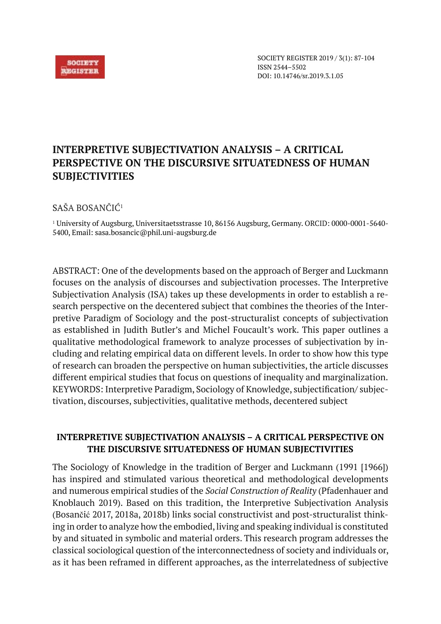

SOCIETY REGISTER 2019 / 3(1): 87-104 ISSN 2544–5502 DOI: 10.14746/sr.2019.3.1.05

# **INTERPRETIVE SUBJECTIVATION ANALYSIS – A CRITICAL PERSPECTIVE ON THE DISCURSIVE SITUATEDNESS OF HUMAN SUBJECTIVITIES**

SAŠA BOSANČIĆ<sup>1</sup>

<sup>1</sup> University of Augsburg, Universitaetsstrasse 10, 86156 Augsburg, Germany. ORCID: 0000-0001-5640- 5400, Email: sasa.bosancic@phil.uni-augsburg.de

ABSTRACT: One of the developments based on the approach of Berger and Luckmann focuses on the analysis of discourses and subjectivation processes. The Interpretive Subjectivation Analysis (ISA) takes up these developments in order to establish a research perspective on the decentered subject that combines the theories of the Interpretive Paradigm of Sociology and the post-structuralist concepts of subjectivation as established in Judith Butler's and Michel Foucault's work. This paper outlines a qualitative methodological framework to analyze processes of subjectivation by including and relating empirical data on different levels. In order to show how this type of research can broaden the perspective on human subjectivities, the article discusses different empirical studies that focus on questions of inequality and marginalization. KEYWORDS: Interpretive Paradigm, Sociology of Knowledge, subjectification/ subjectivation, discourses, subjectivities, qualitative methods, decentered subject

# **INTERPRETIVE SUBJECTIVATION ANALYSIS – A CRITICAL PERSPECTIVE ON THE DISCURSIVE SITUATEDNESS OF HUMAN SUBJECTIVITIES**

The Sociology of Knowledge in the tradition of Berger and Luckmann (1991 [1966]) has inspired and stimulated various theoretical and methodological developments and numerous empirical studies of the *Social Construction of Reality* (Pfadenhauer and Knoblauch 2019). Based on this tradition, the Interpretive Subjectivation Analysis (Bosančić 2017, 2018a, 2018b) links social constructivist and post-structuralist thinking in order to analyze how the embodied, living and speaking individual is constituted by and situated in symbolic and material orders. This research program addresses the classical sociological question of the interconnectedness of society and individuals or, as it has been reframed in different approaches, as the interrelatedness of subjective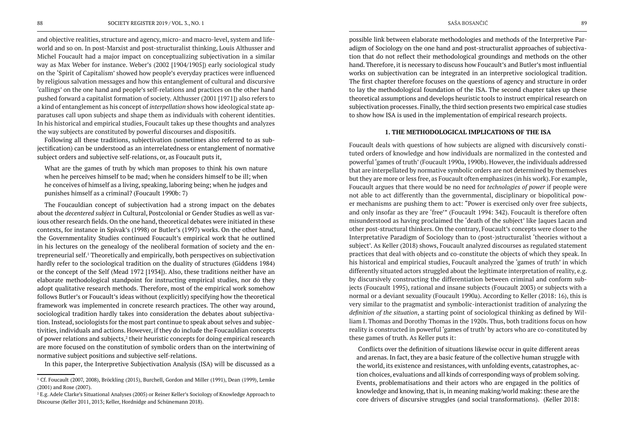and objective realities, structure and agency, micro- and macro-level, system and lifeworld and so on. In post-Marxist and post-structuralist thinking, Louis Althusser and Michel Foucault had a major impact on conceptualizing subjectivation in a similar way as Max Weber for instance. Weber's (2002 [1904/1905]) early sociological study on the 'Spirit of Capitalism' showed how people's everyday practices were influenced by religious salvation messages and how this entanglement of cultural and discursive 'callings' on the one hand and people's self-relations and practices on the other hand pushed forward a capitalist formation of society. Althusser (2001 [1971]) also refers to a kind of entanglement as his concept of *interpellation* shows how ideological state apparatuses call upon subjects and shape them as individuals with coherent identities. In his historical and empirical studies, Foucault takes up these thoughts and analyzes the way subjects are constituted by powerful discourses and dispositifs.

Following all these traditions, subjectivation (sometimes also referred to as subjectification) can be understood as an interrelatedness or entanglement of normative subject orders and subjective self-relations, or, as Foucault puts it,

What are the games of truth by which man proposes to think his own nature when he perceives himself to be mad; when he considers himself to be ill; when he conceives of himself as a living, speaking, laboring being; when he judges and punishes himself as a criminal? (Foucault 1990b: 7)

The Foucauldian concept of subjectivation had a strong impact on the debates about the *decentered subject* in Cultural, Postcolonial or Gender Studies as well as various other research fields. On the one hand, theoretical debates were initiated in these contexts, for instance in Spivak's (1998) or Butler's (1997) works. On the other hand, the Governmentality Studies continued Foucault's empirical work that he outlined in his lectures on the genealogy of the neoliberal formation of society and the entrepreneurial self.<sup>1</sup> Theoretically and empirically, both perspectives on subjectivation hardly refer to the sociological tradition on the duality of structures (Giddens 1984) or the concept of the Self (Mead 1972 [1934]). Also, these traditions neither have an elaborate methodological standpoint for instructing empirical studies, nor do they adopt qualitative research methods. Therefore, most of the empirical work somehow follows Butler's or Foucault's ideas without (explicitly) specifying how the theoretical framework was implemented in concrete research practices. The other way around, sociological tradition hardly takes into consideration the debates about subjectivation. Instead, sociologists for the most part continue to speak about selves and subjectivities, individuals and actions. However, if they do include the Foucauldian concepts of power relations and subjects, $2$  their heuristic concepts for doing empirical research are more focused on the constitution of symbolic orders than on the intertwining of normative subject positions and subjective self-relations.

In this paper, the Interpretive Subjectivation Analysis (ISA) will be discussed as a

possible link between elaborate methodologies and methods of the Interpretive Paradigm of Sociology on the one hand and post-structuralist approaches of subjectivation that do not reflect their methodological groundings and methods on the other hand. Therefore, it is necessary to discuss how Foucault's and Butler's most influential works on subjectivation can be integrated in an interpretive sociological tradition. The first chapter therefore focuses on the questions of agency and structure in order to lay the methodological foundation of the ISA. The second chapter takes up these theoretical assumptions and develops heuristic tools to instruct empirical research on subjectivation processes. Finally, the third section presents two empirical case studies to show how ISA is used in the implementation of empirical research projects.

# **1. THE METHODOLOGICAL IMPLICATIONS OF THE ISA**

Foucault deals with questions of how subjects are aligned with discursively constituted orders of knowledge and how individuals are normalized in the contested and powerful 'games of truth' (Foucault 1990a, 1990b). However, the individuals addressed that are interpellated by normative symbolic orders are not determined by themselves but they are more or less free, as Foucault often emphasizes (in his work). For example, Foucault argues that there would be no need for *technologies of power* if people were not able to act differently than the governmental, disciplinary or biopolitical power mechanisms are pushing them to act: "Power is exercised only over free subjects, and only insofar as they are 'free'" (Foucault 1994: 342). Foucault is therefore often misunderstood as having proclaimed the 'death of the subject' like Jaques Lacan and other post-structural thinkers. On the contrary, Foucault's concepts were closer to the Interpretative Paradigm of Sociology than to (post-)structuralist 'theories without a subject'. As Keller (2018) shows, Foucault analyzed discourses as regulated statement practices that deal with objects and co-constitute the objects of which they speak. In his historical and empirical studies, Foucault analyzed the 'games of truth' in which differently situated actors struggled about the legitimate interpretation of reality, e.g. by discursively constructing the differentiation between criminal and conform subjects (Foucault 1995), rational and insane subjects (Foucault 2003) or subjects with a normal or a deviant sexuality (Foucault 1990a). According to Keller (2018: 16), this is very similar to the pragmatist and symbolic-interactionist tradition of analyzing the *definition of the situation*, a starting point of sociological thinking as defined by William I. Thomas and Dorothy Thomas in the 1920s. Thus, both traditions focus on how reality is constructed in powerful 'games of truth' by actors who are co-constituted by these games of truth. As Keller puts it:

 Conflicts over the definition of situations likewise occur in quite different areas and arenas. In fact, they are a basic feature of the collective human struggle with the world, its existence and resistances, with unfolding events, catastrophes, action choices, evaluations and all kinds of corresponding ways of problem solving. Events, problematisations and their actors who are engaged in the politics of knowledge and knowing, that is, in meaning making/world making: these are the core drivers of discursive struggles (and social transformations). (Keller 2018:

 $^{\rm 2}$  E.g. Adele Clarke's Situational Analyses (2005) or Reiner Keller's Sociology of Knowledge Approach to Discourse (Keller 2011, 2013; Keller, Hordnidge and Schünemann 2018).

<sup>1</sup> Cf. Foucault (2007, 2008), Bröckling (2015), Burchell, Gordon and Miller (1991), Dean (1999), Lemke (2001) and Rose (2007).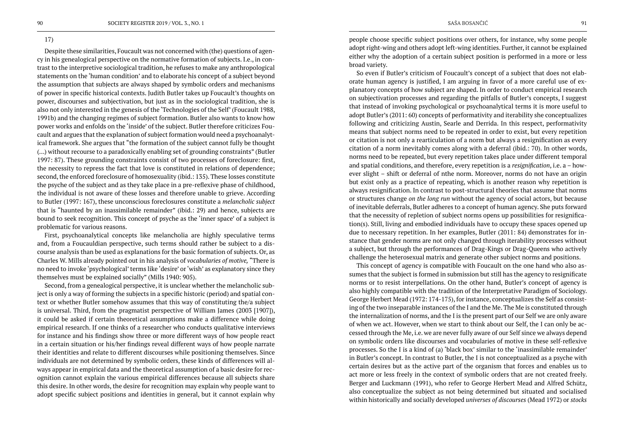# 17)

Despite these similarities, Foucault was not concerned with (the) questions of agency in his genealogical perspective on the normative formation of subjects. I.e., in contrast to the interpretive sociological tradition, he refuses to make any anthropological statements on the 'human condition' and to elaborate his concept of a subject beyond the assumption that subjects are always shaped by symbolic orders and mechanisms of power in specific historical contexts. Judith Butler takes up Foucault's thoughts on power, discourses and subjectivation, but just as in the sociological tradition, she is also not only interested in the genesis of the 'Technologies of the Self' (Foucault 1988, 1991b) and the changing regimes of subject formation. Butler also wants to know how power works and enfolds on the 'inside' of the subject. Butler therefore criticizes Foucault and argues that the explanation of subject formation would need a psychoanalytical framework. She argues that "the formation of the subject cannot fully be thought (…) without recourse to a paradoxically enabling set of grounding constraints" (Butler 1997: 87). These grounding constraints consist of two processes of foreclosure: first, the necessity to repress the fact that love is constituted in relations of dependence; second, the enforced foreclosure of homosexuality (ibid.: 135). These losses constitute the psyche of the subject and as they take place in a pre-reflexive phase of childhood, the individual is not aware of these losses and therefore unable to grieve. According to Butler (1997: 167), these unconscious foreclosures constitute a *melancholic subject* that is "haunted by an inassimilable remainder" (ibid.: 29) and hence, subjects are bound to seek recognition. This concept of psyche as the 'inner space' of a subject is problematic for various reasons.

First, psychoanalytical concepts like melancholia are highly speculative terms and, from a Foucauldian perspective, such terms should rather be subject to a discourse analysis than be used as explanations for the basic formation of subjects. Or, as Charles W. Mills already pointed out in his analysis of *vocabularies of motive,* "There is no need to invoke 'psychological' terms like 'desire' or 'wish' as explanatory since they themselves must be explained socially" (Mills 1940: 905).

Second, from a genealogical perspective, it is unclear whether the melancholic subject is only a way of forming the subjects in a specific historic (period) and spatial context or whether Butler somehow assumes that this way of constituting the/a subject is universal. Third, from the pragmatist perspective of William James (2003 [1907]), it could be asked if certain theoretical assumptions make a difference while doing empirical research. If one thinks of a researcher who conducts qualitative interviews for instance and his findings show three or more different ways of how people react in a certain situation or his/her findings reveal different ways of how people narrate their identities and relate to different discourses while positioning themselves. Since individuals are not determined by symbolic orders, these kinds of differences will always appear in empirical data and the theoretical assumption of a basic desire for recognition cannot explain the various empirical differences because all subjects share this desire. In other words, the desire for recognition may explain why people want to adopt specific subject positions and identities in general, but it cannot explain why

people choose specific subject positions over others, for instance, why some people adopt right-wing and others adopt left-wing identities. Further, it cannot be explained either why the adoption of a certain subject position is performed in a more or less broad variety.

So even if Butler's criticism of Foucault's concept of a subject that does not elaborate human agency is justified, I am arguing in favor of a more careful use of explanatory concepts of how subject are shaped. In order to conduct empirical research on subjectivation processes and regarding the pitfalls of Butler's concepts, I suggest that instead of invoking psychological or psychoanalytical terms it is more useful to adopt Butler's (2011: 60) concepts of performativity and iterability she conceptualizes following and criticizing Austin, Searle and Derrida. In this respect, performativity means that subject norms need to be repeated in order to exist, but every repetition or citation is not only a rearticulation of a norm but always a resignification as every citation of a norm inevitably comes along with a deferral (ibid.: 70). In other words, norms need to be repeated, but every repetition takes place under different temporal and spatial conditions, and therefore, every repetition is a *resignification*, i.e. a – however slight – shift or deferral of nthe norm. Moreover, norms do not have an origin but exist only as a practice of repeating, which is another reason why repetition is always resignification. In contrast to post-structural theories that assume that norms or structures change *on the long run* without the agency of social actors, but because of inevitable deferrals, Butler adheres to a concept of human agency. She puts forward that the necessity of repletion of subject norms opens up possibilities for resignification(s). Still, living and embodied individuals have to occupy these spaces opened up due to necessary repetition. In her examples, Butler (2011: 84) demonstrates for instance that gender norms are not only changed through iterability processes without a subject, but through the performances of Drag-Kings or Drag-Queens who actively challenge the heterosexual matrix and generate other subject norms and positions.

This concept of agency is compatible with Foucault on the one hand who also assumes that the subject is formed in submission but still has the agency to resignificate norms or to resist interpellations. On the other hand, Butler's concept of agency is also highly compatible with the tradition of the Interpretative Paradigm of Sociology. George Herbert Mead (1972: 174-175), for instance, conceptualizes the Self as consisting of the two inseparable instances of the I and the Me. The Me is constituted through the internalization of norms, and the I is the present part of our Self we are only aware of when we act. However, when we start to think about our Self, the I can only be accessed through the Me, i.e. we are never fully aware of our Self since we always depend on symbolic orders like discourses and vocabularies of motive in these self-reflexive processes. So the I is a kind of (a) 'black box' similar to the 'inassimilable remainder' in Butler's concept. In contrast to Butler, the I is not conceptualized as a psyche with certain desires but as the active part of the organism that forces and enables us to act more or less freely in the context of symbolic orders that are not created freely. Berger and Luckmann (1991), who refer to George Herbert Mead and Alfred Schütz, also conceptualize the subject as not being determined but situated and socialised within historically and socially developed *universes of discourses* (Mead 1972) or *stocks*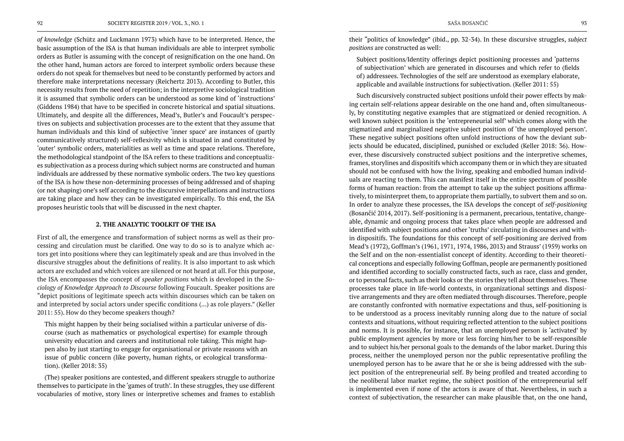*of knowledge* (Schütz and Luckmann 1973) which have to be interpreted. Hence, the basic assumption of the ISA is that human individuals are able to interpret symbolic orders as Butler is assuming with the concept of resignification on the one hand. On the other hand, human actors are forced to interpret symbolic orders because these orders do not speak for themselves but need to be constantly performed by actors and therefore make interpretations necessary (Reichertz 2013). According to Butler, this necessity results from the need of repetition; in the interpretive sociological tradition it is assumed that symbolic orders can be understood as some kind of 'instructions' (Giddens 1984) that have to be specified in concrete historical and spatial situations. Ultimately, and despite all the differences, Mead's, Butler's and Foucault's perspectives on subjects and subjectivation processes are to the extent that they assume that human individuals and this kind of subjective 'inner space' are instances of (partly communicatively structured) self-reflexivity which is situated in and constituted by 'outer' symbolic orders, materialities as well as time and space relations. Therefore, the methodological standpoint of the ISA refers to these traditions and conceptualizes subjectivation as a process during which subject norms are constructed and human individuals are addressed by these normative symbolic orders. The two key questions of the ISA is how these non-determining processes of being addressed and of shaping (or not shaping) one's self according to the discursive interpellations and instructions are taking place and how they can be investigated empirically. To this end, the ISA proposes heuristic tools that will be discussed in the next chapter.

#### **2. THE ANALYTIC TOOLKIT OF THE ISA**

First of all, the emergence and transformation of subject norms as well as their processing and circulation must be clarified. One way to do so is to analyze which actors get into positions where they can legitimately speak and are thus involved in the discursive struggles about the definitions of reality. It is also important to ask which actors are excluded and which voices are silenced or not heard at all. For this purpose, the ISA encompasses the concept of *speaker positions* which is developed in the *Sociology of Knowledge Approach to Discourse* following Foucault. Speaker positions are "depict positions of legitimate speech acts within discourses which can be taken on and interpreted by social actors under specific conditions (…) as role players." (Keller 2011: 55). How do they become speakers though?

This might happen by their being socialised within a particular universe of discourse (such as mathematics or psychological expertise) for example through university education and careers and institutional role taking. This might happen also by just starting to engage for organisational or private reasons with an issue of public concern (like poverty, human rights, or ecological transformation). (Keller 2018: 35)

(The) speaker positions are contested, and different speakers struggle to authorize themselves to participate in the 'games of truth'. In these struggles, they use different vocabularies of motive, story lines or interpretive schemes and frames to establish

their "politics of knowledge" (ibid., pp. 32-34). In these discursive struggles, *subject positions* are constructed as well:

Subject positions/Identity offerings depict positioning processes and 'patterns of subjectivation' which are generated in discourses and which refer to (fields of) addressees. Technologies of the self are understood as exemplary elaborate, applicable and available instructions for subjectivation. (Keller 2011: 55)

Such discursively constructed subject positions unfold their power effects by making certain self-relations appear desirable on the one hand and, often simultaneously, by constituting negative examples that are stigmatized or denied recognition. A well known subject position is the 'entrepreneurial self' which comes along with the stigmatized and marginalized negative subject position of 'the unemployed person'. These negative subject positions often unfold instructions of how the deviant subjects should be educated, disciplined, punished or excluded (Keller 2018: 36). However, these discursively constructed subject positions and the interpretive schemes, frames, storylines and dispositifs which accompany them or in which they are situated should not be confused with how the living, speaking and embodied human individuals are reacting to them. This can manifest itself in the entire spectrum of possible forms of human reaction: from the attempt to take up the subject positions affirmatively, to misinterpret them, to appropriate them partially, to subvert them and so on. In order to analyze these processes, the ISA develops the concept of *self-positioning* (Bosančić 2014, 2017). Self-positioning is a permanent, precarious, tentative, changeable, dynamic and ongoing process that takes place when people are addressed and identified with subject positions and other 'truths' circulating in discourses and within dispositifs. The foundations for this concept of self-positioning are derived from Mead's (1972), Goffman's (1961, 1971, 1974, 1986, 2013) and Strauss' (1959) works on the Self and on the non-essentialist concept of identity. According to their theoretical conceptions and especially following Goffman, people are permanently positioned and identified according to socially constructed facts, such as race, class and gender, or to personal facts, such as their looks or the stories they tell about themselves. These processes take place in life-world contexts, in organizational settings and dispositive arrangements and they are often mediated through discourses. Therefore, people are constantly confronted with normative expectations and thus, self-positioning is to be understood as a process inevitably running along due to the nature of social contexts and situations, without requiring reflected attention to the subject positions and norms. It is possible, for instance, that an unemployed person is 'activated' by public employment agencies by more or less forcing him/her to be self-responsible and to subject his/her personal goals to the demands of the labor market. During this process, neither the unemployed person nor the public representative profiling the unemployed person has to be aware that he or she is being addressed with the subject position of the entrepreneurial self. By being profiled and treated according to the neoliberal labor market regime, the subject position of the entrepreneurial self is implemented even if none of the actors is aware of that. Nevertheless, in such a context of subjectivation, the researcher can make plausible that, on the one hand,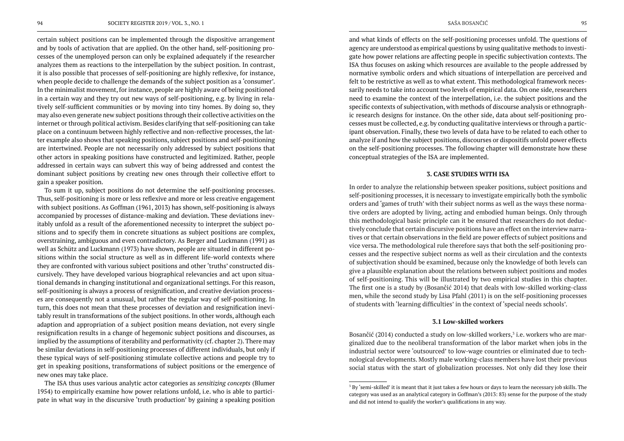certain subject positions can be implemented through the dispositive arrangement and by tools of activation that are applied. On the other hand, self-positioning processes of the unemployed person can only be explained adequately if the researcher analyzes them as reactions to the interpellation by the subject position. In contrast, it is also possible that processes of self-positioning are highly reflexive, for instance, when people decide to challenge the demands of the subject position as a 'consumer'. In the minimalist movement, for instance, people are highly aware of being positioned in a certain way and they try out new ways of self-positioning, e.g. by living in relatively self-sufficient communities or by moving into tiny homes. By doing so, they may also even generate new subject positions through their collective activities on the internet or through political activism. Besides clarifying that self-positioning can take place on a continuum between highly reflective and non-reflective processes, the latter example also shows that speaking positions, subject positions and self-positioning are intertwined. People are not necessarily only addressed by subject positions that other actors in speaking positions have constructed and legitimized. Rather, people addressed in certain ways can subvert this way of being addressed and contest the dominant subject positions by creating new ones through their collective effort to gain a speaker position.

To sum it up, subject positions do not determine the self-positioning processes. Thus, self-positioning is more or less reflexive and more or less creative engagement with subject positions. As Goffman (1961, 2013) has shown, self-positioning is always accompanied by processes of distance-making and deviation. These deviations inevitably unfold as a result of the aforementioned necessity to interpret the subject positions and to specify them in concrete situations as subject positions are complex, overstraining, ambiguous and even contradictory. As Berger and Luckmann (1991) as well as Schütz and Luckmann (1973) have shown, people are situated in different positions within the social structure as well as in different life-world contexts where they are confronted with various subject positions and other 'truths' constructed discursively. They have developed various biographical relevancies and act upon situational demands in changing institutional and organizational settings. For this reason, self-positioning is always a process of resignification, and creative deviation processes are consequently not a unusual, but rather the regular way of self-positioning. In turn, this does not mean that these processes of deviation and resignification inevitably result in transformations of the subject positions. In other words, although each adaption and appropriation of a subject position means deviation, not every single resignification results in a change of hegemonic subject positions and discourses, as implied by the assumptions of iterability and performativity (cf. chapter 2). There may be similar deviations in self-positioning processes of different individuals, but only if these typical ways of self-positioning stimulate collective actions and people try to get in speaking positions, transformations of subject positions or the emergence of new ones may take place.

Bosančić (2014) conducted a study on low-skilled workers,<sup>3</sup> i.e. workers who are marginalized due to the neoliberal transformation of the labor market when jobs in the industrial sector were 'outsourced' to low-wage countries or eliminated due to technological developments. Mostly male working-class members have lost their previous social status with the start of globalization processes. Not only did they lose their

The ISA thus uses various analytic actor categories as *sensitizing concepts* (Blumer 1954) to empirically examine how power relations unfold, i.e. who is able to participate in what way in the discursive 'truth production' by gaining a speaking position

and what kinds of effects on the self-positioning processes unfold. The questions of agency are understood as empirical questions by using qualitative methods to investigate how power relations are affecting people in specific subjectivation contexts. The ISA thus focuses on asking which resources are available to the people addressed by normative symbolic orders and which situations of interpellation are perceived and felt to be restrictive as well as to what extent. This methodological framework necessarily needs to take into account two levels of empirical data. On one side, researchers need to examine the context of the interpellation, i.e. the subject positions and the specific contexts of subjectivation, with methods of discourse analysis or ethnographic research designs for instance. On the other side, data about self-positioning processes must be collected, e.g. by conducting qualitative interviews or through a participant observation. Finally, these two levels of data have to be related to each other to analyze if and how the subject positions, discourses or dispositifs unfold power effects on the self-positioning processes. The following chapter will demonstrate how these conceptual strategies of the ISA are implemented.

# **3. CASE STUDIES WITH ISA**

In order to analyze the relationship between speaker positions, subject positions and self-positioning processes, it is necessary to investigate empirically both the symbolic orders and 'games of truth' with their subject norms as well as the ways these normative orders are adopted by living, acting and embodied human beings. Only through this methodological basic principle can it be ensured that researchers do not deductively conclude that certain discursive positions have an effect on the interview narratives or that certain observations in the field are power effects of subject positions and vice versa. The methodological rule therefore says that both the self-positioning processes and the respective subject norms as well as their circulation and the contexts of subjectivation should be examined, because only the knowledge of both levels can give a plausible explanation about the relations between subject positions and modes of self-positioning. This will be illustrated by two empirical studies in this chapter. The first one is a study by (Bosančić 2014) that deals with low-skilled working-class men, while the second study by Lisa Pfahl (2011) is on the self-positioning processes of students with 'learning difficulties' in the context of 'special needs schools'.

# **3.1 Low-skilled workers**

 $^3$  By 'semi-skilled' it is meant that it just takes a few hours or days to learn the necessary job skills. The category was used as an analytical category in Goffman's (2013: 83) sense for the purpose of the study and did not intend to qualify the worker's qualifications in any way.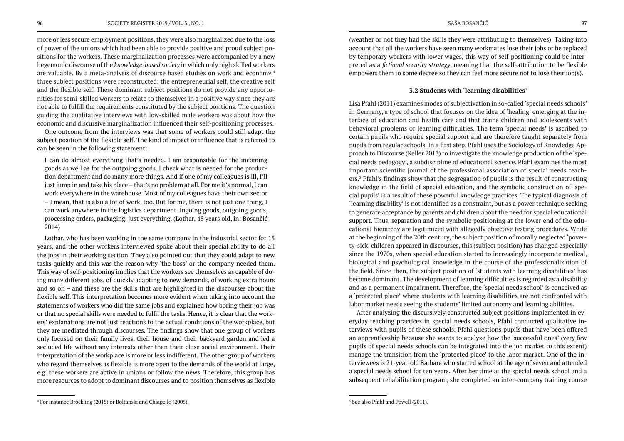more or less secure employment positions, they were also marginalized due to the loss of power of the unions which had been able to provide positive and proud subject positions for the workers. These marginalization processes were accompanied by a new hegemonic discourse of the *knowledge-based society* in which only high skilled workers are valuable. By a meta-analysis of discourse based studies on work and economy,<sup>4</sup> three subject positions were reconstructed: the entrepreneurial self, the creative self and the flexible self. These dominant subject positions do not provide any opportunities for semi-skilled workers to relate to themselves in a positive way since they are not able to fulfill the requirements constituted by the subject positions. The question guiding the qualitative interviews with low-skilled male workers was about how the economic and discursive marginalization influenced their self-positioning processes.

One outcome from the interviews was that some of workers could still adapt the subject position of the flexible self. The kind of impact or influence that is referred to can be seen in the following statement:

I can do almost everything that's needed. I am responsible for the incoming goods as well as for the outgoing goods. I check what is needed for the production department and do many more things. And if one of my colleagues is ill, I'll just jump in and take his place – that's no problem at all. For me it's normal, I can work everywhere in the warehouse. Most of my colleagues have their own sector – I mean, that is also a lot of work, too. But for me, there is not just one thing, I can work anywhere in the logistics department. Ingoing goods, outgoing goods, processing orders, packaging, just everything. (Lothar, 48 years old, in: Bosančić 2014)

Lothar, who has been working in the same company in the industrial sector for 15 years, and the other workers interviewed spoke about their special ability to do all the jobs in their working section. They also pointed out that they could adapt to new tasks quickly and this was the reason why 'the boss' or the company needed them. This way of self-positioning implies that the workers see themselves as capable of doing many different jobs, of quickly adapting to new demands, of working extra hours and so on – and these are the skills that are highlighted in the discourses about the flexible self. This interpretation becomes more evident when taking into account the statements of workers who did the same jobs and explained how boring their job was or that no special skills were needed to fulfil the tasks. Hence, it is clear that the workers' explanations are not just reactions to the actual conditions of the workplace, but they are mediated through discourses. The findings show that one group of workers only focused on their family lives, their house and their backyard garden and led a secluded life without any interests other than their close social environment. Their interpretation of the workplace is more or less indifferent. The other group of workers who regard themselves as flexible is more open to the demands of the world at large, e.g. these workers are active in unions or follow the news. Therefore, this group has more resources to adopt to dominant discourses and to position themselves as flexible

(weather or not they had the skills they were attributing to themselves). Taking into account that all the workers have seen many workmates lose their jobs or be replaced by temporary workers with lower wages, this way of self-positioning could be interpreted as a *fictional security strategy*, meaning that the self-attribution to be flexible empowers them to some degree so they can feel more secure not to lose their job(s).

# **3.2 Students with 'learning disabilities'**

Lisa Pfahl (2011) examines modes of subjectivation in so-called 'special needs schools' in Germany, a type of school that focuses on the idea of 'healing' emerging at the interface of education and health care and that trains children and adolescents with behavioral problems or learning difficulties. The term 'special needs' is ascribed to certain pupils who require special support and are therefore taught separately from pupils from regular schools. In a first step, Pfahl uses the Sociology of Knowledge Approach to Discourse (Keller 2013) to investigate the knowledge production of the 'special needs pedagogy', a subdiscipline of educational science. Pfahl examines the most important scientific journal of the professional association of special needs teachers.<sup>5</sup> Pfahl's findings show that the segregation of pupils is the result of constructing knowledge in the field of special education, and the symbolic construction of 'special pupils' is a result of these powerful knowledge practices. The typical diagnosis of 'learning disability' is not identified as a constraint, but as a power technique seeking to generate acceptance by parents and children about the need for special educational support. Thus, separation and the symbolic positioning at the lower end of the educational hierarchy are legitimized with allegedly objective testing procedures. While at the beginning of the 20th century, the subject position of morally neglected 'poverty-sick' children appeared in discourses, this (subject position) has changed especially since the 1970s, when special education started to increasingly incorporate medical, biological and psychological knowledge in the course of the professionalization of the field. Since then, the subject position of 'students with learning disabilities' has become dominant. The development of learning difficulties is regarded as a disability and as a permanent impairment. Therefore, the 'special needs school' is conceived as a 'protected place' where students with learning disabilities are not confronted with labor market needs seeing the students' limited autonomy and learning abilities.

After analyzing the discursively constructed subject positions implemented in everyday teaching practices in special needs schools, Pfahl conducted qualitative interviews with pupils of these schools. Pfahl questions pupils that have been offered an apprenticeship because she wants to analyze how the 'successful ones' (very few pupils of special needs schools can be integrated into the job market to this extent) manage the transition from the 'protected place' to the labor market. One of the interviewees is 21-year-old Barbara who started school at the age of seven and attended a special needs school for ten years. After her time at the special needs school and a subsequent rehabilitation program, she completed an inter-company training course

<sup>4</sup> For instance Bröckling (2015) or Boltanski and Chiapello (2005).

<sup>5</sup> See also Pfahl and Powell (2011).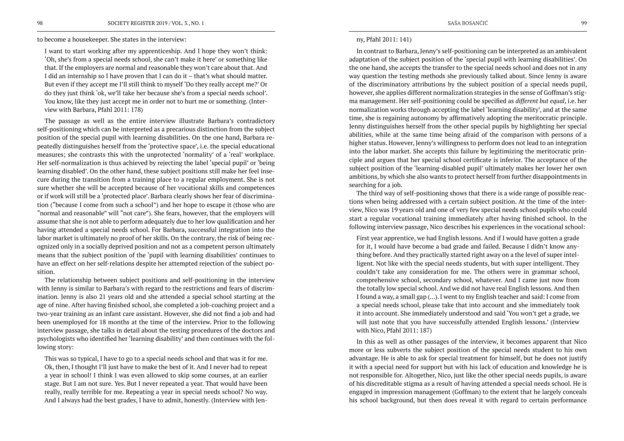to become a housekeeper. She states in the interview:

I want to start working after my apprenticeship. And I hope they won't think: 'Oh, she's from a special needs school, she can't make it here' or something like that. If the employers are normal and reasonable they won't care about that. And I did an internship so I have proven that I can do it – that's what should matter. But even if they accept me I'll still think to myself 'Do they really accept me?' Or do they just think 'ok, we'll take her because she's from a special needs school'. You know, like they just accept me in order not to hurt me or something. (Interview with Barbara, Pfahl 2011: 178)

The passage as well as the entire interview illustrate Barbara's contradictory self-positioning which can be interpreted as a precarious distinction from the subject position of the special pupil with learning disabilities. On the one hand, Barbara repeatedly distinguishes herself from the 'protective space', i.e. the special educational measures; she contrasts this with the unprotected 'normality' of a 'real' workplace. Her self-normalization is thus achieved by rejecting the label 'special pupil' or 'being learning disabled'. On the other hand, these subject positions still make her feel insecure during the transition from a training place to a regular employment. She is not sure whether she will be accepted because of her vocational skills and competences or if work will still be a 'protected place'. Barbara clearly shows her fear of discrimination ("because I come from such a school") and her hope to escape it (those who are "normal and reasonable" will "not care"). She fears, however, that the employers will assume that she is not able to perform adequately due to her low qualification and her having attended a special needs school. For Barbara, successful integration into the labor market is ultimately no proof of her skills. On the contrary, the risk of being recognized only in a socially deprived position and not as a competent person ultimately means that the subject position of the 'pupil with learning disabilities' continues to have an effect on her self-relations despite her attempted rejection of the subject position.

The relationship between subject positions and self-positioning in the interview with Jenny is similar to Barbara's with regard to the restrictions and fears of discrimination. Jenny is also 21 years old and she attended a special school starting at the age of nine. After having finished school, she completed a job-coaching project and a two-year training as an infant care assistant. However, she did not find a job and had been unemployed for 18 months at the time of the interview. Prior to the following interview passage, she talks in detail about the testing procedures of the doctors and psychologists who identified her 'learning disability' and then continues with the following story:

This was so typical, I have to go to a special needs school and that was it for me. Ok, then, I thought I'll just have to make the best of it. And I never had to repeat a year in school! I think I was even allowed to skip some courses, at an earlier stage. But I am not sure. Yes. But I never repeated a year. That would have been really, really terrible for me. Repeating a year in special needs school? No way. And I always had the best grades, I have to admit, honestly. (Interview with Jen-

# ny, Pfahl 2011: 141)

In contrast to Barbara, Jenny's self-positioning can be interpreted as an ambivalent adaptation of the subject position of the 'special pupil with learning disabilities'. On the one hand, she accepts the transfer to the special needs school and does not in any way question the testing methods she previously talked about. Since Jenny is aware of the discriminatory attributions by the subject position of a special needs pupil, however, she applies different normalization strategies in the sense of Goffman's stigma management. Her self-positioning could be specified as *different but equal*, i.e. her normalization works through accepting the label 'learning disability', and at the same time, she is regaining autonomy by affirmatively adopting the meritocratic principle. Jenny distinguishes herself from the other special pupils by highlighting her special abilities, while at the same time being afraid of the comparison with persons of a higher status. However, Jenny's willingness to perform does not lead to an integration into the labor market. She accepts this failure by legitimizing the meritocratic principle and argues that her special school certificate is inferior. The acceptance of the subject position of the 'learning-disabled pupil' ultimately makes her lower her own ambitions, by which she also wants to protect herself from further disappointments in searching for a job.

The third way of self-positioning shows that there is a wide range of possible reactions when being addressed with a certain subject position. At the time of the interview, Nico was 19 years old and one of very few special needs school pupils who could start a regular vocational training immediately after having finished school. In the following interview passage, Nico describes his experiences in the vocational school:

First year apprentice, we had English lessons. And if I would have gotten a grade for it, I would have become a bad grade and failed. Because I didn't know anything before. And they practically started right away on a the level of super intelligent. Not like with the special needs students, but with super intelligent. They couldn't take any consideration for me. The others were in grammar school, comprehensive school, secondary school, whatever. And I came just now from the totally low special school. And we did not have real English lessons. And then I found a way, a small gap (…). I went to my English teacher and said: I come from a special needs school, please take that into account and she immediately took it into account. She immediately understood and said 'You won't get a grade, we will just note that you have successfully attended English lessons.' (Interview with Nico, Pfahl 2011: 187)

In this as well as other passages of the interview, it becomes apparent that Nico more or less subverts the subject position of the special needs student to his own advantage. He is able to ask for special treatment for himself, but he does not justify it with a special need for support but with his lack of education and knowledge he is not responsible for. Altogether, Nico, just like the other special needs pupils, is aware of his discreditable stigma as a result of having attended a special needs school. He is engaged in impression management (Goffman) to the extent that he largely conceals his school background, but then does reveal it with regard to certain performance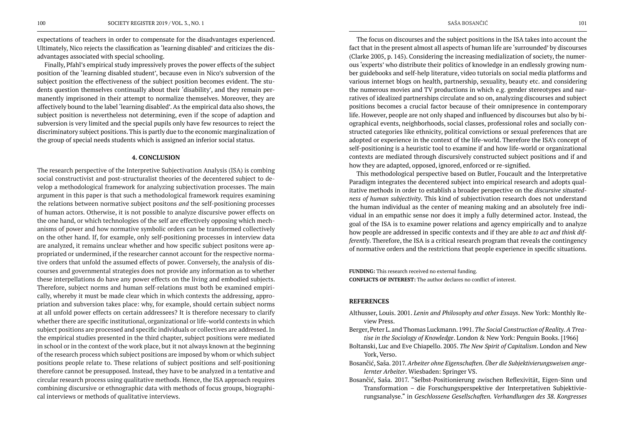expectations of teachers in order to compensate for the disadvantages experienced. Ultimately, Nico rejects the classification as 'learning disabled' and criticizes the disadvantages associated with special schooling.

Finally, Pfahl's empirical study impressively proves the power effects of the subject position of the 'learning disabled student', because even in Nico's subversion of the subject position the effectiveness of the subject position becomes evident. The students question themselves continually about their 'disability', and they remain permanently imprisoned in their attempt to normalize themselves. Moreover, they are affectively bound to the label 'learning disabled'. As the empirical data also shows, the subject position is nevertheless not determining, even if the scope of adaption and subversion is very limited and the special pupils only have few resources to reject the discriminatory subject positions. This is partly due to the economic marginalization of the group of special needs students which is assigned an inferior social status.

### **4. CONCLUSION**

The research perspective of the Interpretive Subjectivation Analysis (ISA) is combing social constructivist and post-structuralist theories of the decentered subject to develop a methodological framework for analyzing subjectivation processes. The main argument in this paper is that such a methodological framework requires examining the relations between normative subject positons *and* the self-positioning processes of human actors. Otherwise, it is not possible to analyze discursive power effects on the one hand, or which technologies of the self are effectively opposing which mechanisms of power and how normative symbolic orders can be transformed collectively on the other hand. If, for example, only self-positioning processes in interview data are analyzed, it remains unclear whether and how specific subject positons were appropriated or undermined, if the researcher cannot account for the respective normative orders that unfold the assumed effects of power. Conversely, the analysis of discourses and governmental strategies does not provide any information as to whether these interpellations do have any power effects on the living and embodied subjects. Therefore, subject norms and human self-relations must both be examined empirically, whereby it must be made clear which in which contexts the addressing, appropriation and subversion takes place: why, for example, should certain subject norms at all unfold power effects on certain addressees? It is therefore necessary to clarify whether there are specific institutional, organizational or life-world contexts in which subject positions are processed and specific individuals or collectives are addressed. In the empirical studies presented in the third chapter, subject positions were mediated in school or in the context of the work place, but it not always known at the beginning of the research process which subject positions are imposed by whom or which subject positions people relate to. These relations of subject positions and self-positioning therefore cannot be presupposed. Instead, they have to be analyzed in a tentative and circular research process using qualitative methods. Hence, the ISA approach requires combining discursive or ethnographic data with methods of focus groups, biographical interviews or methods of qualitative interviews.

The focus on discourses and the subject positions in the ISA takes into account the fact that in the present almost all aspects of human life are 'surrounded' by discourses (Clarke 2005, p. 145). Considering the increasing medialization of society, the numerous 'experts' who distribute their politics of knowledge in an endlessly growing number guidebooks and self-help literature, video tutorials on social media platforms and various internet blogs on health, partnership, sexuality, beauty etc. and considering the numerous movies and TV productions in which e.g. gender stereotypes and narratives of idealized partnerships circulate and so on, analyzing discourses and subject positions becomes a crucial factor because of their omnipresence in contemporary life. However, people are not only shaped and influenced by discourses but also by biographical events, neighborhoods, social classes, professional roles and socially constructed categories like ethnicity, political convictions or sexual preferences that are adopted or experience in the context of the life-world. Therefore the ISA's concept of self-positioning is a heuristic tool to examine if and how life-world or organizational contexts are mediated through discursively constructed subject positions and if and how they are adapted, opposed, ignored, enforced or re-signified.

This methodological perspective based on Butler, Foucault and the Interpretative Paradigm integrates the decentered subject into empirical research and adopts qualitative methods in order to establish a broader perspective on the *discursive situatedness of human subjectivity*. This kind of subjectivation research does not understand the human individual as the center of meaning making and an absolutely free individual in an empathic sense nor does it imply a fully determined actor. Instead, the goal of the ISA is to examine power relations and agency empirically and to analyze how people are addressed in specific contexts and if they are able *to act and think differently*. Therefore, the ISA is a critical research program that reveals the contingency of normative orders and the restrictions that people experience in specific situations.

**FUNDING:** This research received no external funding. **CONFLICTS OF INTEREST:** The author declares no conflict of interest.

# **REFERENCES**

Althusser, Louis. 2001. *Lenin and Philosophy and other Essays*. New York: Monthly Review Press. Berger, Peter L. and Thomas Luckmann. 1991. *The Social Construction of Reality. A Treatise in the Sociology of Knowledge*. London & New York: Penguin Books. [1966] Boltanski, Luc and Eve Chiapello. 2005. *The New Spirit of Capitalism*. London and New York, Verso. Bosančić, Saša. 2017. *Arbeiter ohne Eigenschaften. Über die Subjektivierungsweisen angelernter Arbeiter*. Wiesbaden: Springer VS. Bosančić, Saša. 2017. "Selbst-Positionierung zwischen Reflexivität, Eigen-Sinn und

Transformation – die Forschungsperspektive der Interpretativen Subjektivierungsanalyse." in *Geschlossene Gesellschaften. Verhandlungen des 38. Kongresses*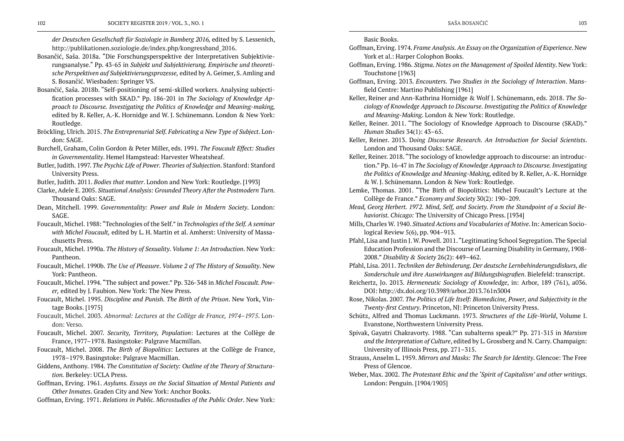*der Deutschen Gesellschaft für Soziologie in Bamberg 2016,* edited by S. Lessenich, [http://publikationen.soziologie.de/index.php/kongressband\\_2016](http://publikationen.soziologie.de/index.php/kongressband_2016).

- Bosančić, Saša. 2018a. "Die Forschungsperspektive der Interpretativen Subjektivierungsanalyse." Pp. 43-65 in *Subjekt und Subjektivierung. Empirische und theoretische Perspektiven auf Subjektivierungsprozesse,* edited by A. Geimer, S. Amling and S. Bosančić. Wiesbaden: Springer VS.
- Bosančić, Saša. 2018b. "Self-positioning of semi-skilled workers. Analysing subjectification processes with SKAD." Pp. 186-201 in *The Sociology of Knowledge Approach to Discourse. Investigating the Politics of Knowledge and Meaning-making,*  edited by R. Keller, A.-K. Hornidge and W. J. Schünemann*.* London & New York: Routledge.
- Bröckling, Ulrich. 2015. *The Entreprenurial Self. Fabricating a New Type of Subject*. London: SAGE.
- Burchell, Graham, Colin Gordon & Peter Miller, eds. 1991*. The Foucault Effect: Studies in Governmentality*. Hemel Hampstead: Harvester Wheatsheaf.
- Butler, Judith. 1997. *The Psychic Life of Power. Theories of Subjection*. Stanford: Stanford University Press.
- Butler, Judith. 2011. *Bodies that matter*. London and New York: Routledge. [1993]
- Clarke, Adele E. 2005. *Situational Analysis: Grounded Theory After the Postmodern Turn*. Thousand Oaks: SAGE.
- Dean, Mitchell. 1999. *Governmentality: Power and Rule in Modern Society*. London: SAGE.
- Foucault, Michel. 1988: "Technologies of the Self." in *Technologies of the Self. A seminar with Michel Foucault,* edited by L. H. Martin et al. Amherst: University of Massachusetts Press.
- Foucault, Michel. 1990a. *The History of Sexuality*. *Volume 1: An Introduction*. New York: Pantheon.
- Foucault, Michel. 1990b. *The Use of Pleasure*. *Volume 2 of The History of Sexuality*. New York: Pantheon.
- Foucault, Michel. 1994. "The subject and power." Pp. 326-348 in *Michel Foucault. Power,* edited by J. Faubion. New York: The New Press.
- Foucault, Michel. 1995. *Discipline and Punish. The Birth of the Prison*. New York, Vintage Books. [1975]
- Foucault, Michel. 2003. *Abnormal: Lectures at the Collège de France, 1974–1975*. London: Verso.
- Foucault, Michel. 2007. *Security, Territory, Population*: Lectures at the Collège de France, 1977–1978. Basingstoke: Palgrave Macmillan.
- Foucault, Michel. 2008. *The Birth of Biopolitics*: Lectures at the Collège de France, 1978–1979. Basingstoke: Palgrave Macmillan.
- Giddens, Anthony. 1984. *The Constitution of Society: Outline of the Theory of Structuration.* Berkeley: UCLA Press.
- Goffman, Erving. 1961. *Asylums. Essays on the Social Situation of Mental Patients and Other Inmates*. Graden City and New York: Anchor Books.
- Goffman, Erving. 1971. *Relations in Public. Microstudies of the Public Order*. New York:

*ciology of Knowledge Approach to Discourse. Investigating the Politics of Knowledge* 

tion." Pp. 16-47 in *The Sociology of Knowledge Approach to Discourse. Investigating the Politics of Knowledge and Meaning-Making,* edited by R. Keller, A.-K. Hornidge

- Basic Books. Goffman, Erving. 1974. *Frame Analysis. An Essay on the Organization of Experience*. New York et al.: Harper Colophon Books. Goffman, Erving. 1986. *Stigma. Notes on the Management of Spoiled Identity*. New York: Touchstone [1963] Goffman, Erving. 2013. *Encounters. Two Studies in the Sociology of Interaction*. Mansfield Centre: Martino Publishing [1961] Keller, Reiner and Ann-Kathrina Hornidge & Wolf J. Schünemann, eds. 2018. *The Soand Meaning-Making*. London & New York: Routledge. Keller, Reiner. 2011. "The Sociology of Knowledge Approach to Discourse (SKAD)." *Human Studies* 34(1): 43–65. Keller, Reiner. 2013. D*oing Discourse Research. An Introduction for Social Scientists*. London and Thousand Oaks: SAGE. Keller, Reiner. 2018. "The sociology of knowledge approach to discourse: an introduc-& W. J. Schünemann. London & New York: Routledge. Lemke, Thomas. 2001. "The Birth of Biopolitics: Michel Foucault's Lecture at the Collège de France." *Economy and Society* 30(2): 190–209. *Mead, Georg Herbert. 1972. Mind, Self, and Society. From the Standpoint of a Social Behaviorist. Chicago:* The University of Chicago Press. [1934] Mills, Charles W. 1940. *Situated Actions and Vocabularies of Motive*. In: American Sociological Review 5(6), pp. 904–913. Pfahl, Lisa and Justin J. W. Powell. 2011."Legitimating School Segregation. The Special 2008." *Disability & Society* 26(2): 449–462. Pfahl, Lisa. 2011. *Techniken der Behinderung. Der deutsche Lernbehinderungsdiskurs, die*  Reichertz, Jo. 2013. *Hermeneutic Sociology of Knowledge*, in: Arbor, 189 (761), a036. DOI: http://dx.doi.org/10.3989/arbor.2013.761n3004 Rose, Nikolas. 2007. *The Politics of Life Itself: Biomedicine, Power, and Subjectivity in the Twenty-first Century*. Princeton, NJ: Princeton University Press.
- Evanstone, Northwestern University Press.
- University of Illinois Press, pp. 271–315.
- Press of Glencoe.
- London: Penguin. [1904/1905]

Education Profession and the Discourse of Learning Disability in Germany, 1908-

*Sonderschule und ihre Auswirkungen auf Bildungsbiografien*. Bielefeld: transcript.

Schütz, Alfred and Thomas Luckmann. 1973. *Structures of the Life-World*, Volume I.

Spivak, Gayatri Chakravorty. 1988. "Can subalterns speak?" Pp. 271-315 in *Marxism and the Interpretation of Culture*, edited by L. Grossberg and N. Carry. Champaign:

Strauss, Anselm L. 1959. *Mirrors and Masks: The Search for Identity*. Glencoe: The Free

Weber, Max. 2002. *The Protestant Ethic and the 'Spirit of Capitalism' and other writings*.